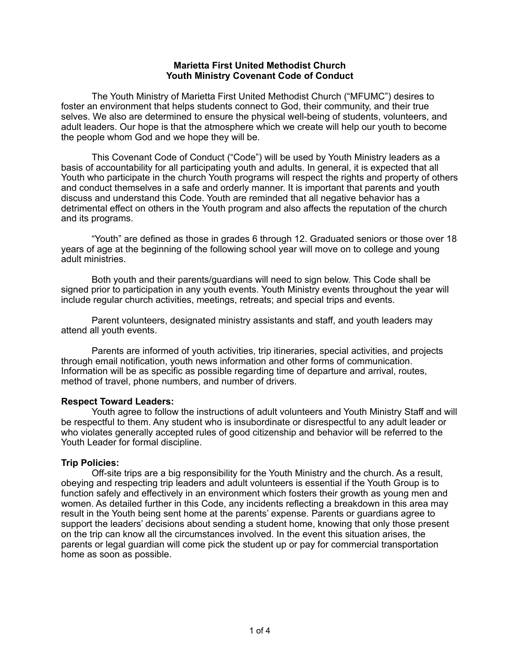### **Marietta First United Methodist Church Youth Ministry Covenant Code of Conduct**

The Youth Ministry of Marietta First United Methodist Church ("MFUMC") desires to foster an environment that helps students connect to God, their community, and their true selves. We also are determined to ensure the physical well-being of students, volunteers, and adult leaders. Our hope is that the atmosphere which we create will help our youth to become the people whom God and we hope they will be.

This Covenant Code of Conduct ("Code") will be used by Youth Ministry leaders as a basis of accountability for all participating youth and adults. In general, it is expected that all Youth who participate in the church Youth programs will respect the rights and property of others and conduct themselves in a safe and orderly manner. It is important that parents and youth discuss and understand this Code. Youth are reminded that all negative behavior has a detrimental effect on others in the Youth program and also affects the reputation of the church and its programs.

"Youth" are defined as those in grades 6 through 12. Graduated seniors or those over 18 years of age at the beginning of the following school year will move on to college and young adult ministries.

Both youth and their parents/guardians will need to sign below. This Code shall be signed prior to participation in any youth events. Youth Ministry events throughout the year will include regular church activities, meetings, retreats; and special trips and events.

Parent volunteers, designated ministry assistants and staff, and youth leaders may attend all youth events.

Parents are informed of youth activities, trip itineraries, special activities, and projects through email notification, youth news information and other forms of communication. Information will be as specific as possible regarding time of departure and arrival, routes, method of travel, phone numbers, and number of drivers.

### **Respect Toward Leaders:**

Youth agree to follow the instructions of adult volunteers and Youth Ministry Staff and will be respectful to them. Any student who is insubordinate or disrespectful to any adult leader or who violates generally accepted rules of good citizenship and behavior will be referred to the Youth Leader for formal discipline.

# **Trip Policies:**

Off-site trips are a big responsibility for the Youth Ministry and the church. As a result, obeying and respecting trip leaders and adult volunteers is essential if the Youth Group is to function safely and effectively in an environment which fosters their growth as young men and women. As detailed further in this Code, any incidents reflecting a breakdown in this area may result in the Youth being sent home at the parents' expense. Parents or guardians agree to support the leaders' decisions about sending a student home, knowing that only those present on the trip can know all the circumstances involved. In the event this situation arises, the parents or legal guardian will come pick the student up or pay for commercial transportation home as soon as possible.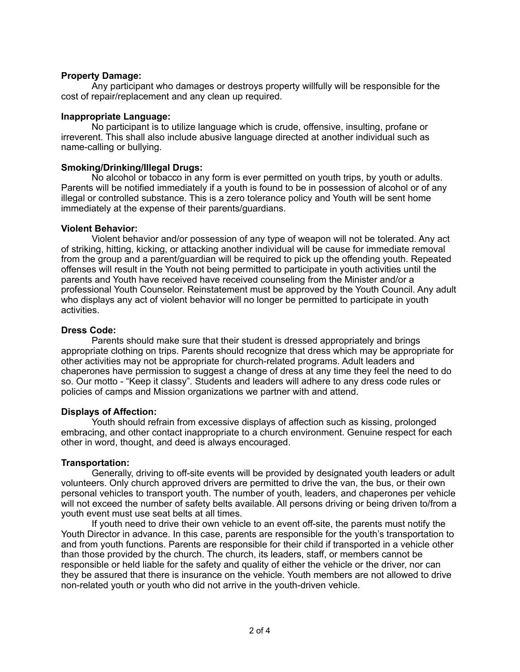## **Property Damage:**

Any participant who damages or destroys property willfully will be responsible for the cost of repair/replacement and any clean up required.

## **Inappropriate Language:**

No participant is to utilize language which is crude, offensive, insulting, profane or irreverent. This shall also include abusive language directed at another individual such as name-calling or bullying.

## **Smoking/Drinking/Illegal Drugs:**

No alcohol or tobacco in any form is ever permitted on youth trips, by youth or adults. Parents will be notified immediately if a youth is found to be in possession of alcohol or of any illegal or controlled substance. This is a zero tolerance policy and Youth will be sent home immediately at the expense of their parents/guardians.

## **Violent Behavior:**

Violent behavior and/or possession of any type of weapon will not be tolerated. Any act of striking, hitting, kicking, or attacking another individual will be cause for immediate removal from the group and a parent/guardian will be required to pick up the offending youth. Repeated offenses will result in the Youth not being permitted to participate in youth activities until the parents and Youth have received have received counseling from the Minister and/or a professional Youth Counselor. Reinstatement must be approved by the Youth Council. Any adult who displays any act of violent behavior will no longer be permitted to participate in youth activities.

## **Dress Code:**

Parents should make sure that their student is dressed appropriately and brings appropriate clothing on trips. Parents should recognize that dress which may be appropriate for other activities may not be appropriate for church-related programs. Adult leaders and chaperones have permission to suggest a change of dress at any time they feel the need to do so. Our motto - "Keep it classy". Students and leaders will adhere to any dress code rules or policies of camps and Mission organizations we partner with and attend.

### **Displays of Affection:**

Youth should refrain from excessive displays of affection such as kissing, prolonged embracing, and other contact inappropriate to a church environment. Genuine respect for each other in word, thought, and deed is always encouraged.

# **Transportation:**

Generally, driving to off-site events will be provided by designated youth leaders or adult volunteers. Only church approved drivers are permitted to drive the van, the bus, or their own personal vehicles to transport youth. The number of youth, leaders, and chaperones per vehicle will not exceed the number of safety belts available. All persons driving or being driven to/from a youth event must use seat belts at all times.

If youth need to drive their own vehicle to an event off-site, the parents must notify the Youth Director in advance. In this case, parents are responsible for the youth's transportation to and from youth functions. Parents are responsible for their child if transported in a vehicle other than those provided by the church. The church, its leaders, staff, or members cannot be responsible or held liable for the safety and quality of either the vehicle or the driver, nor can they be assured that there is insurance on the vehicle. Youth members are not allowed to drive non-related youth or youth who did not arrive in the youth-driven vehicle.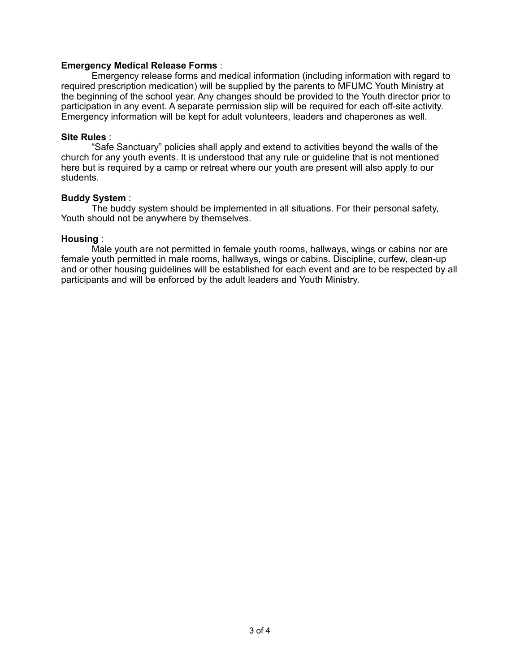### **Emergency Medical Release Forms** :

Emergency release forms and medical information (including information with regard to required prescription medication) will be supplied by the parents to MFUMC Youth Ministry at the beginning of the school year. Any changes should be provided to the Youth director prior to participation in any event. A separate permission slip will be required for each off-site activity. Emergency information will be kept for adult volunteers, leaders and chaperones as well.

#### **Site Rules** :

"Safe Sanctuary" policies shall apply and extend to activities beyond the walls of the church for any youth events. It is understood that any rule or guideline that is not mentioned here but is required by a camp or retreat where our youth are present will also apply to our students.

#### **Buddy System** :

The buddy system should be implemented in all situations. For their personal safety, Youth should not be anywhere by themselves.

#### **Housing** :

Male youth are not permitted in female youth rooms, hallways, wings or cabins nor are female youth permitted in male rooms, hallways, wings or cabins. Discipline, curfew, clean-up and or other housing guidelines will be established for each event and are to be respected by all participants and will be enforced by the adult leaders and Youth Ministry.